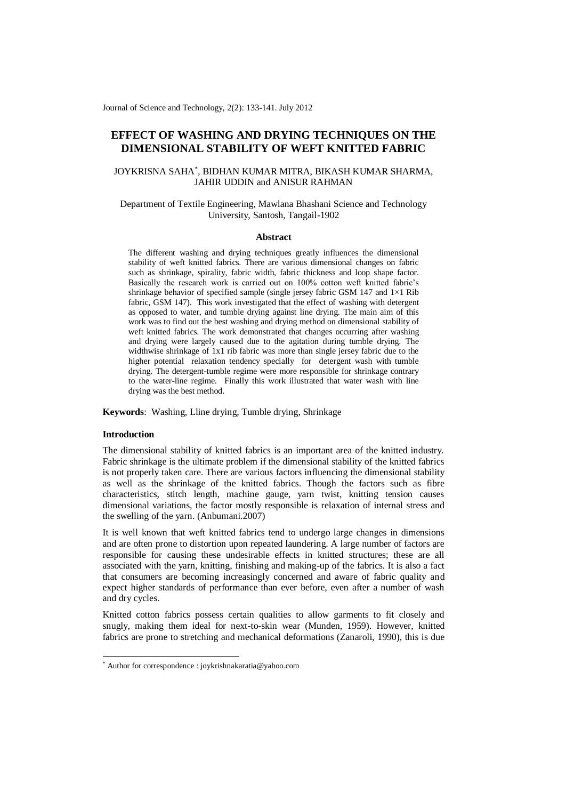Journal of Science and Technology, 2(2): 133-141. July 2012

# **EFFECT OF WASHING AND DRYING TECHNIQUES ON THE DIMENSIONAL STABILITY OF WEFT KNITTED FABRIC**

## JOYKRISNA SAHA\* , BIDHAN KUMAR MITRA, BIKASH KUMAR SHARMA, JAHIR UDDIN and ANISUR RAHMAN

## Department of Textile Engineering, Mawlana Bhashani Science and Technology University, Santosh, Tangail-1902

#### **Abstract**

The different washing and drying techniques greatly influences the dimensional stability of weft knitted fabrics. There are various dimensional changes on fabric such as shrinkage, spirality, fabric width, fabric thickness and loop shape factor. Basically the research work is carried out on 100% cotton weft knitted fabric's shrinkage behavior of specified sample (single jersey fabric GSM 147 and  $1\times1$  Rib fabric, GSM 147). This work investigated that the effect of washing with detergent as opposed to water, and tumble drying against line drying. The main aim of this work was to find out the best washing and drying method on dimensional stability of weft knitted fabrics. The work demonstrated that changes occurring after washing and drying were largely caused due to the agitation during tumble drying. The widthwise shrinkage of 1x1 rib fabric was more than single jersey fabric due to the higher potential relaxation tendency specially for detergent wash with tumble drying. The detergent-tumble regime were more responsible for shrinkage contrary to the water-line regime. Finally this work illustrated that water wash with line drying was the best method.

**Keywords**: Washing, Lline drying, Tumble drying, Shrinkage

## **Introduction**

-

The dimensional stability of knitted fabrics is an important area of the knitted industry. Fabric shrinkage is the ultimate problem if the dimensional stability of the knitted fabrics is not properly taken care. There are various factors influencing the dimensional stability as well as the shrinkage of the knitted fabrics. Though the factors such as fibre characteristics, stitch length, machine gauge, yarn twist, knitting tension causes dimensional variations, the factor mostly responsible is relaxation of internal stress and the swelling of the yarn. (Anbumani.2007)

It is well known that weft knitted fabrics tend to undergo large changes in dimensions and are often prone to distortion upon repeated laundering. A large number of factors are responsible for causing these undesirable effects in knitted structures; these are all associated with the yarn, knitting, finishing and making-up of the fabrics. It is also a fact that consumers are becoming increasingly concerned and aware of fabric quality and expect higher standards of performance than ever before, even after a number of wash and dry cycles.

Knitted cotton fabrics possess certain qualities to allow garments to fit closely and snugly, making them ideal for next-to-skin wear (Munden, 1959). However, knitted fabrics are prone to stretching and mechanical deformations (Zanaroli, 1990), this is due

<sup>\*</sup> Author for correspondence : joykrishnakaratia@yahoo.com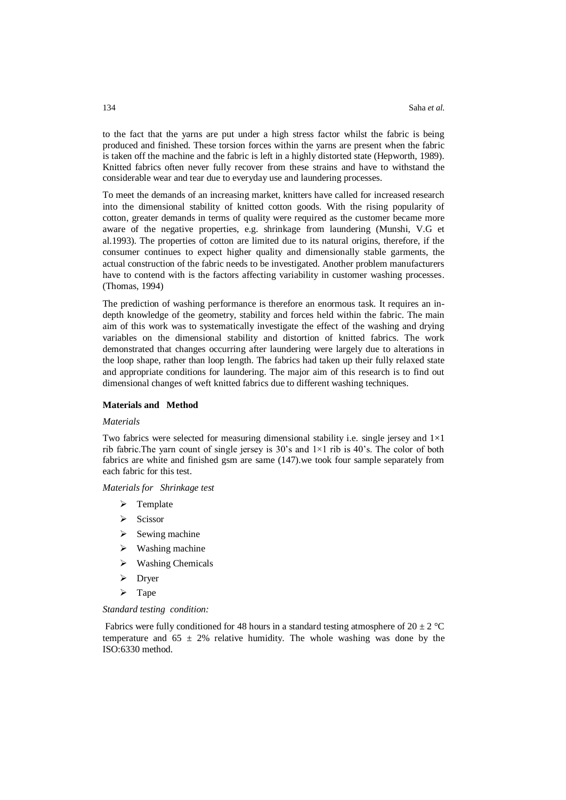to the fact that the yarns are put under a high stress factor whilst the fabric is being produced and finished. These torsion forces within the yarns are present when the fabric is taken off the machine and the fabric is left in a highly distorted state (Hepworth, 1989). Knitted fabrics often never fully recover from these strains and have to withstand the considerable wear and tear due to everyday use and laundering processes.

To meet the demands of an increasing market, knitters have called for increased research into the dimensional stability of knitted cotton goods. With the rising popularity of cotton, greater demands in terms of quality were required as the customer became more aware of the negative properties, e.g. shrinkage from laundering (Munshi, V.G et al.1993). The properties of cotton are limited due to its natural origins, therefore, if the consumer continues to expect higher quality and dimensionally stable garments, the actual construction of the fabric needs to be investigated. Another problem manufacturers have to contend with is the factors affecting variability in customer washing processes. (Thomas, 1994)

The prediction of washing performance is therefore an enormous task. It requires an indepth knowledge of the geometry, stability and forces held within the fabric. The main aim of this work was to systematically investigate the effect of the washing and drying variables on the dimensional stability and distortion of knitted fabrics. The work demonstrated that changes occurring after laundering were largely due to alterations in the loop shape, rather than loop length. The fabrics had taken up their fully relaxed state and appropriate conditions for laundering. The major aim of this research is to find out dimensional changes of weft knitted fabrics due to different washing techniques.

#### **Materials and Method**

## *Materials*

Two fabrics were selected for measuring dimensional stability i.e. single jersey and  $1\times1$ rib fabric. The yarn count of single jersey is  $30$ 's and  $1 \times 1$  rib is  $40$ 's. The color of both fabrics are white and finished gsm are same (147).we took four sample separately from each fabric for this test.

*Materials for Shrinkage test*

- $\triangleright$  Template
- $\triangleright$  Scissor
- $\triangleright$  Sewing machine
- $\triangleright$  Washing machine
- $\triangleright$  Washing Chemicals
- $\triangleright$  Dryer
- $\triangleright$  Tape

#### *Standard testing condition:*

Fabrics were fully conditioned for 48 hours in a standard testing atmosphere of 20  $\pm$  2 °C temperature and  $65 \pm 2\%$  relative humidity. The whole washing was done by the ISO:6330 method.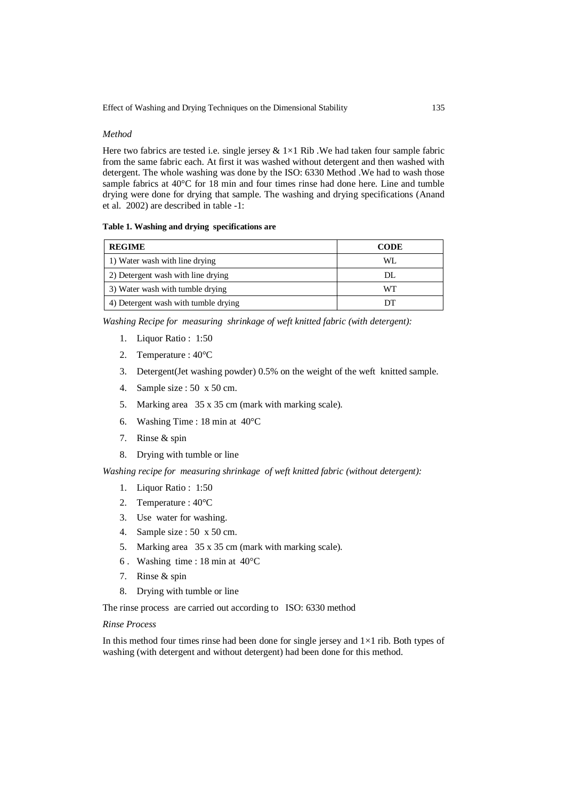## *Method*

Here two fabrics are tested i.e. single jersey  $& 1 \times 1$  Rib. We had taken four sample fabric from the same fabric each. At first it was washed without detergent and then washed with detergent. The whole washing was done by the ISO: 6330 Method .We had to wash those sample fabrics at 40°C for 18 min and four times rinse had done here. Line and tumble drying were done for drying that sample. The washing and drying specifications (Anand et al. 2002) are described in table -1:

## **Table 1. Washing and drying specifications are**

| <b>REGIME</b>                        | <b>CODE</b> |  |  |
|--------------------------------------|-------------|--|--|
| 1) Water wash with line drying       | WI.         |  |  |
| 2) Detergent wash with line drying   | DL          |  |  |
| 3) Water wash with tumble drying     | WТ          |  |  |
| 4) Detergent wash with tumble drying |             |  |  |

*Washing Recipe for measuring shrinkage of weft knitted fabric (with detergent):*

- 1. Liquor Ratio : 1:50
- 2. Temperature : 40°C
- 3. Detergent(Jet washing powder) 0.5% on the weight of the weft knitted sample.
- 4. Sample size : 50 x 50 cm.
- 5. Marking area 35 x 35 cm (mark with marking scale).
- 6. Washing Time : 18 min at 40°C
- 7. Rinse & spin
- 8. Drying with tumble or line

*Washing recipe for measuring shrinkage of weft knitted fabric (without detergent):*

- 1. Liquor Ratio : 1:50
- 2. Temperature : 40°C
- 3. Use water for washing.
- 4. Sample size : 50 x 50 cm.
- 5. Marking area 35 x 35 cm (mark with marking scale).
- 6 . Washing time : 18 min at 40°C
- 7. Rinse & spin
- 8. Drying with tumble or line

The rinse process are carried out according to ISO: 6330 method

## *Rinse Process*

In this method four times rinse had been done for single jersey and  $1\times1$  rib. Both types of washing (with detergent and without detergent) had been done for this method.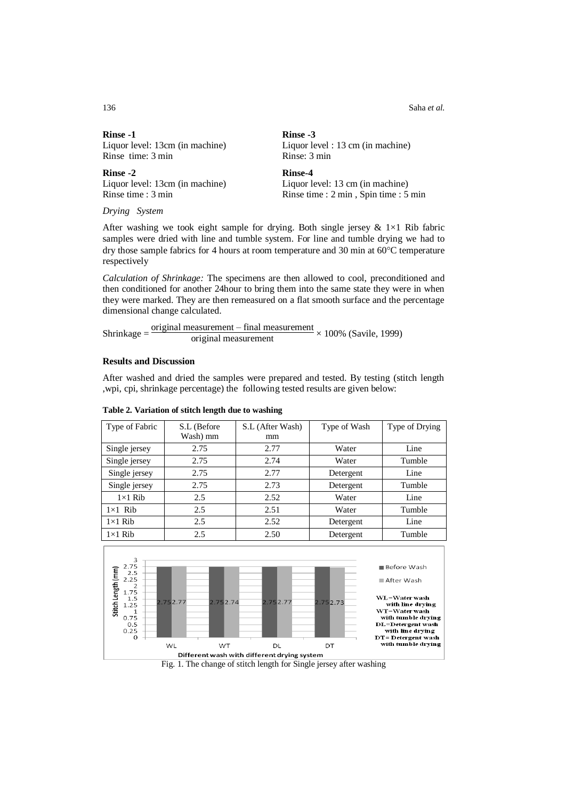136 Saha *et al.*

| <b>Rinse -1</b>                 | Rinse -3                          |
|---------------------------------|-----------------------------------|
| Liquor level: 13cm (in machine) | Liquor level : 13 cm (in machine) |
| Rinse time: 3 min               | Rinse: 3 min                      |
| <b>Rinse -2</b>                 | Rinse-4                           |
| Liquor level: 13cm (in machine) | Liquor level: 13 cm (in machine)  |
|                                 |                                   |

*Drying System*

After washing we took eight sample for drying. Both single jersey  $& 1 \times 1$  Rib fabric samples were dried with line and tumble system. For line and tumble drying we had to dry those sample fabrics for 4 hours at room temperature and 30 min at  $60^{\circ}$ C temperature respectively

*Calculation of Shrinkage:* The specimens are then allowed to cool, preconditioned and then conditioned for another 24hour to bring them into the same state they were in when they were marked. They are then remeasured on a flat smooth surface and the percentage dimensional change calculated.

Shrinkage  $=\frac{\text{original measurement} - \text{final measurement}}{\text{original measurement}} \times 100\%$  (Savile, 1999)

## **Results and Discussion**

After washed and dried the samples were prepared and tested. By testing (stitch length ,wpi, cpi, shrinkage percentage) the following tested results are given below:

| Type of Fabric | S.L (Before | S.L (After Wash) | Type of Wash | Type of Drying |
|----------------|-------------|------------------|--------------|----------------|
|                | Wash) mm    | mm               |              |                |
| Single jersey  | 2.75        | 2.77             | Water        | Line           |
| Single jersey  | 2.75        | 2.74             | Water        | Tumble         |
| Single jersey  | 2.75        | 2.77             | Detergent    | Line           |
| Single jersey  | 2.75        | 2.73             | Detergent    | Tumble         |
| $1\times1$ Rib | 2.5         | 2.52             | Water        | Line           |
| $1\times1$ Rib | 2.5         | 2.51             | Water        | Tumble         |
| $1\times1$ Rib | 2.5         | 2.52             | Detergent    | Line           |
| $1\times1$ Rib | 2.5         | 2.50             | Detergent    | Tumble         |

#### **Table 2. Variation of stitch length due to washing**

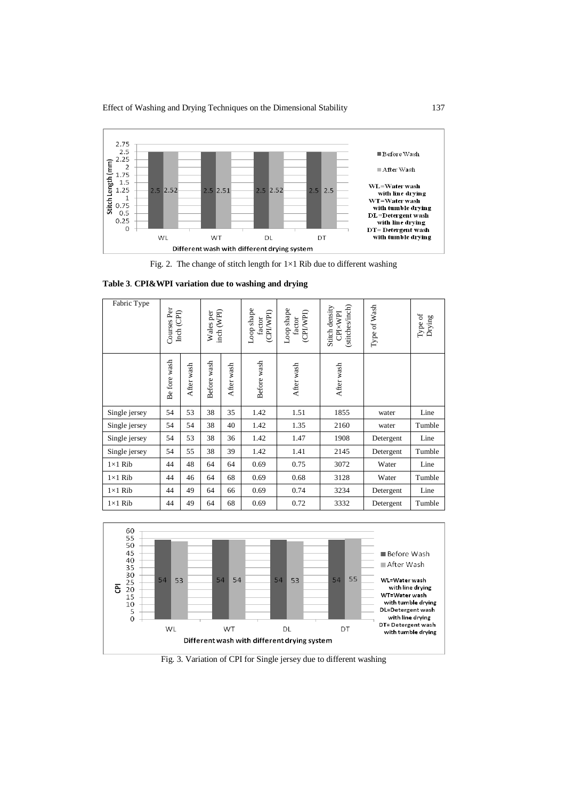

Fig. 2. The change of stitch length for  $1\times1$  Rib due to different washing

| Fabric Type    | Courses Per<br>Inch (CPI) |            | Wales per<br>inch (WPI) |            | Loop shape<br>(CPI/WPI)<br>factor | Loop shape<br>(CPI/WPI)<br>factor | (stitches/inch)<br>Stitch density<br>CPIXWPI | Type of Wash | Type of<br>Drying |
|----------------|---------------------------|------------|-------------------------|------------|-----------------------------------|-----------------------------------|----------------------------------------------|--------------|-------------------|
|                | Be fore wash              | After wash | Before wash             | After wash | Before wash                       | After wash                        | After wash                                   |              |                   |
| Single jersey  | 54                        | 53         | 38                      | 35         | 1.42                              | 1.51                              | 1855                                         | water        | Line              |
| Single jersey  | 54                        | 54         | 38                      | 40         | 1.42                              | 1.35                              | 2160                                         | water        | Tumble            |
| Single jersey  | 54                        | 53         | 38                      | 36         | 1.42                              | 1.47                              | 1908                                         | Detergent    | Line              |
| Single jersey  | 54                        | 55         | 38                      | 39         | 1.42                              | 1.41                              | 2145                                         | Detergent    | Tumble            |
| $1\times1$ Rib | 44                        | 48         | 64                      | 64         | 0.69                              | 0.75                              | 3072                                         | Water        | Line              |
| $1\times1$ Rib | 44                        | 46         | 64                      | 68         | 0.69                              | 0.68                              | 3128                                         | Water        | Tumble            |
| $1\times1$ Rib | 44                        | 49         | 64                      | 66         | 0.69                              | 0.74                              | 3234                                         | Detergent    | Line              |
| $1\times1$ Rib | 44                        | 49         | 64                      | 68         | 0.69                              | 0.72                              | 3332                                         | Detergent    | Tumble            |



Fig. 3. Variation of CPI for Single jersey due to different washing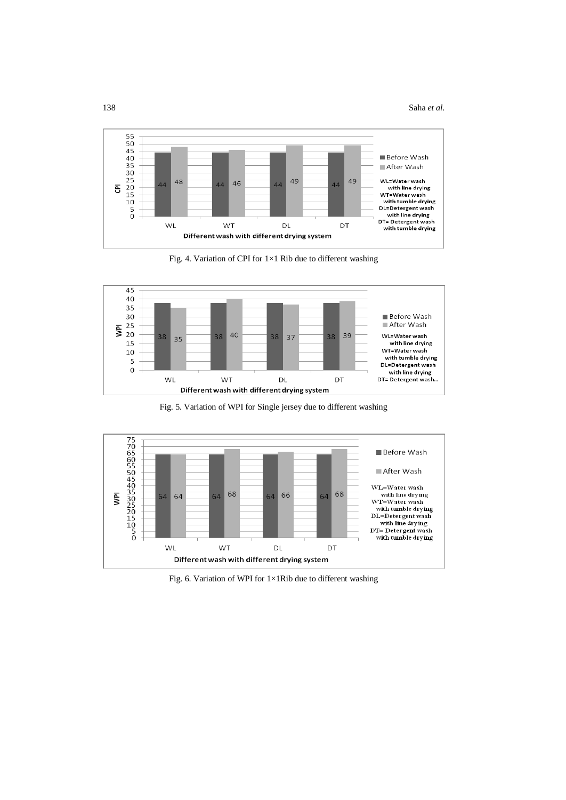

Fig. 4. Variation of CPI for 1×1 Rib due to different washing



Fig. 5. Variation of WPI for Single jersey due to different washing



Fig. 6. Variation of WPI for 1×1Rib due to different washing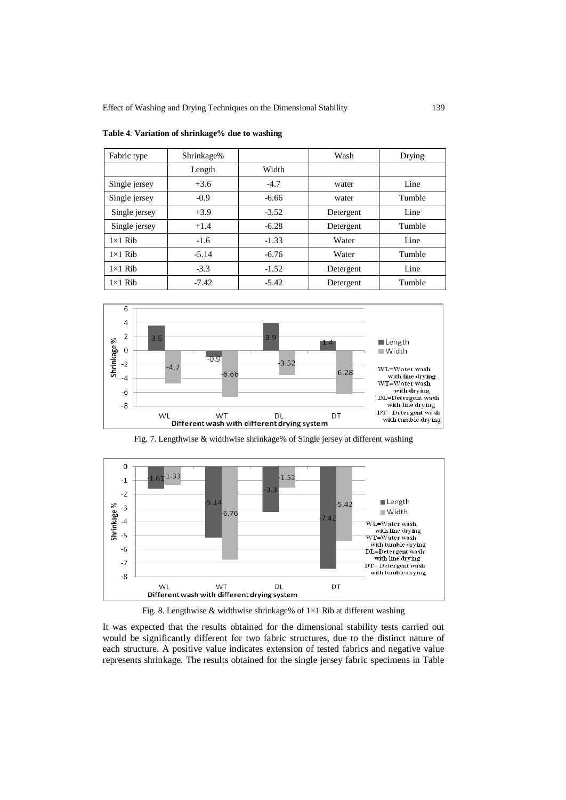| Fabric type    | Shrinkage% |         | Wash      | Drying |
|----------------|------------|---------|-----------|--------|
|                | Length     | Width   |           |        |
| Single jersey  | $+3.6$     | $-4.7$  | water     | Line   |
| Single jersey  | $-0.9$     | $-6.66$ | water     | Tumble |
| Single jersey  | $+3.9$     | $-3.52$ | Detergent | Line   |
| Single jersey  | $+1.4$     | $-6.28$ | Detergent | Tumble |
| $1\times1$ Rib | $-1.6$     | $-1.33$ | Water     | Line   |
| $1\times1$ Rib | $-5.14$    | $-6.76$ | Water     | Tumble |
| $1\times1$ Rib | $-3.3$     | $-1.52$ | Detergent | Line   |
| $1\times1$ Rib | $-7.42$    | $-5.42$ | Detergent | Tumble |

**Table 4**. **Variation of shrinkage% due to washing**



Fig. 7. Lengthwise & widthwise shrinkage% of Single jersey at different washing



Fig. 8. Lengthwise & widthwise shrinkage% of 1×1 Rib at different washing

It was expected that the results obtained for the dimensional stability tests carried out would be significantly different for two fabric structures, due to the distinct nature of each structure. A positive value indicates extension of tested fabrics and negative value represents shrinkage. The results obtained for the single jersey fabric specimens in Table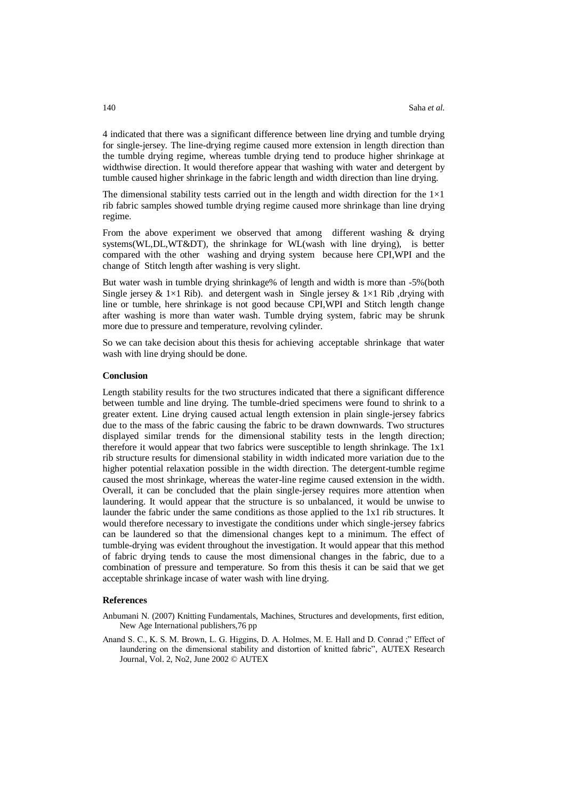4 indicated that there was a significant difference between line drying and tumble drying for single-jersey. The line-drying regime caused more extension in length direction than the tumble drying regime, whereas tumble drying tend to produce higher shrinkage at widthwise direction. It would therefore appear that washing with water and detergent by tumble caused higher shrinkage in the fabric length and width direction than line drying.

The dimensional stability tests carried out in the length and width direction for the  $1\times1$ rib fabric samples showed tumble drying regime caused more shrinkage than line drying regime.

From the above experiment we observed that among different washing  $\&$  drying systems(WL,DL,WT&DT), the shrinkage for WL(wash with line drying), is better compared with the other washing and drying system because here CPI,WPI and the change of Stitch length after washing is very slight.

But water wash in tumble drying shrinkage% of length and width is more than -5%(both Single jersey &  $1\times1$  Rib). and detergent wash in Single jersey &  $1\times1$  Rib ,drying with line or tumble, here shrinkage is not good because CPI,WPI and Stitch length change after washing is more than water wash. Tumble drying system, fabric may be shrunk more due to pressure and temperature, revolving cylinder.

So we can take decision about this thesis for achieving acceptable shrinkage that water wash with line drying should be done.

#### **Conclusion**

Length stability results for the two structures indicated that there a significant difference between tumble and line drying. The tumble-dried specimens were found to shrink to a greater extent. Line drying caused actual length extension in plain single-jersey fabrics due to the mass of the fabric causing the fabric to be drawn downwards. Two structures displayed similar trends for the dimensional stability tests in the length direction; therefore it would appear that two fabrics were susceptible to length shrinkage. The 1x1 rib structure results for dimensional stability in width indicated more variation due to the higher potential relaxation possible in the width direction. The detergent-tumble regime caused the most shrinkage, whereas the water-line regime caused extension in the width. Overall, it can be concluded that the plain single-jersey requires more attention when laundering. It would appear that the structure is so unbalanced, it would be unwise to launder the fabric under the same conditions as those applied to the 1x1 rib structures. It would therefore necessary to investigate the conditions under which single-jersey fabrics can be laundered so that the dimensional changes kept to a minimum. The effect of tumble-drying was evident throughout the investigation. It would appear that this method of fabric drying tends to cause the most dimensional changes in the fabric, due to a combination of pressure and temperature. So from this thesis it can be said that we get acceptable shrinkage incase of water wash with line drying.

#### **References**

- Anbumani N. (2007) Knitting Fundamentals, Machines, Structures and developments, first edition, New Age International publishers,76 pp
- Anand S. C., K. S. M. Brown, L. G. Higgins, D. A. Holmes, M. E. Hall and D. Conrad ;" Effect of laundering on the dimensional stability and distortion of knitted fabric", AUTEX Research Journal, Vol. 2, No2, June 2002 © AUTEX